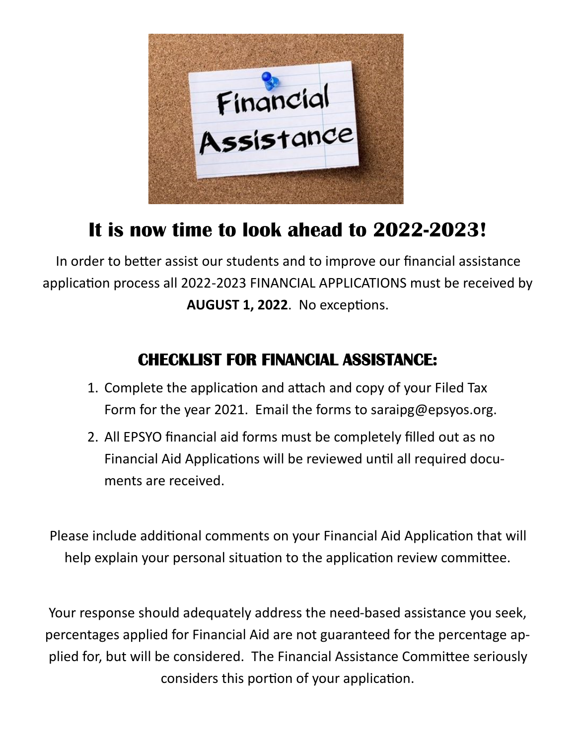

# **It is now time to look ahead to 2022-2023!**

In order to better assist our students and to improve our financial assistance application process all 2022-2023 FINANCIAL APPLICATIONS must be received by **AUGUST 1, 2022**. No exceptions.

## **CHECKLIST FOR FINANCIAL ASSISTANCE:**

- 1. Complete the application and attach and copy of your Filed Tax Form for the year 2021. Email the forms to saraipg@epsyos.org.
- 2. All EPSYO financial aid forms must be completely filled out as no Financial Aid Applications will be reviewed until all required documents are received.

Please include additional comments on your Financial Aid Application that will help explain your personal situation to the application review committee.

Your response should adequately address the need-based assistance you seek, percentages applied for Financial Aid are not guaranteed for the percentage applied for, but will be considered. The Financial Assistance Committee seriously considers this portion of your application.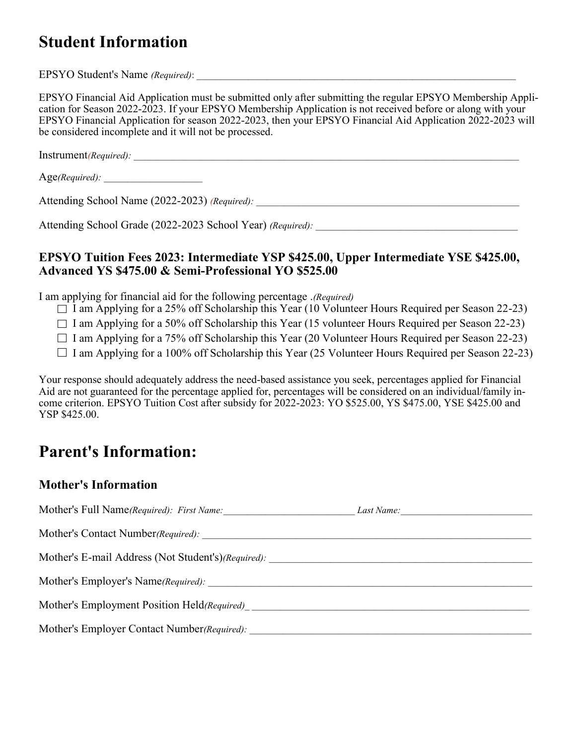### **Student Information**

EPSYO Student's Name *(Required)*:

EPSYO Financial Aid Application must be submitted only after submitting the regular EPSYO Membership Application for Season 2022-2023. If your EPSYO Membership Application is not received before or along with your EPSYO Financial Application for season 2022-2023, then your EPSYO Financial Aid Application 2022-2023 will be considered incomplete and it will not be processed.

Instrument*(Required): \_\_\_\_\_\_\_\_\_\_\_\_\_\_\_\_\_\_\_\_\_\_\_\_\_\_\_\_\_\_\_\_\_\_\_\_\_\_\_\_\_\_\_\_\_\_\_\_\_\_\_\_\_\_\_\_\_\_\_\_\_\_\_\_\_\_\_\_\_\_\_\_\_\_\_\_\_\_\_\_\_\_*

Age(Required):

Attending School Name (2022-2023) *(Required): \_\_\_\_\_\_\_\_\_\_\_\_\_\_\_\_\_\_\_\_\_\_\_\_\_\_\_\_\_\_\_\_\_\_\_\_\_\_\_\_\_\_\_\_\_\_\_\_\_\_\_\_\_\_\_\_*

Attending School Grade (2022-2023 School Year) *(Required)*:

#### **EPSYO Tuition Fees 2023: Intermediate YSP \$425.00, Upper Intermediate YSE \$425.00, Advanced YS \$475.00 & Semi-Professional YO \$525.00**

I am applying for financial aid for the following percentage .*(Required)*

 $\Box$  I am Applying for a 25% off Scholarship this Year (10 Volunteer Hours Required per Season 22-23)

 $\Box$  I am Applying for a 50% off Scholarship this Year (15 volunteer Hours Required per Season 22-23)

 $\Box$  I am Applying for a 75% off Scholarship this Year (20 Volunteer Hours Required per Season 22-23)

 $\Box$  I am Applying for a 100% off Scholarship this Year (25 Volunteer Hours Required per Season 22-23)

Your response should adequately address the need-based assistance you seek, percentages applied for Financial Aid are not guaranteed for the percentage applied for, percentages will be considered on an individual/family income criterion. EPSYO Tuition Cost after subsidy for 2022-2023: YO \$525.00, YS \$475.00, YSE \$425.00 and YSP \$425.00.

### **Parent's Information:**

#### **Mother's Information**

| Mother's Full Name(Required): First Name:          | Last Name: |  |
|----------------------------------------------------|------------|--|
| Mother's Contact Number(Required):                 |            |  |
| Mother's E-mail Address (Not Student's)(Required): |            |  |
|                                                    |            |  |
|                                                    |            |  |
| Mother's Employer Contact Number(Required):        |            |  |